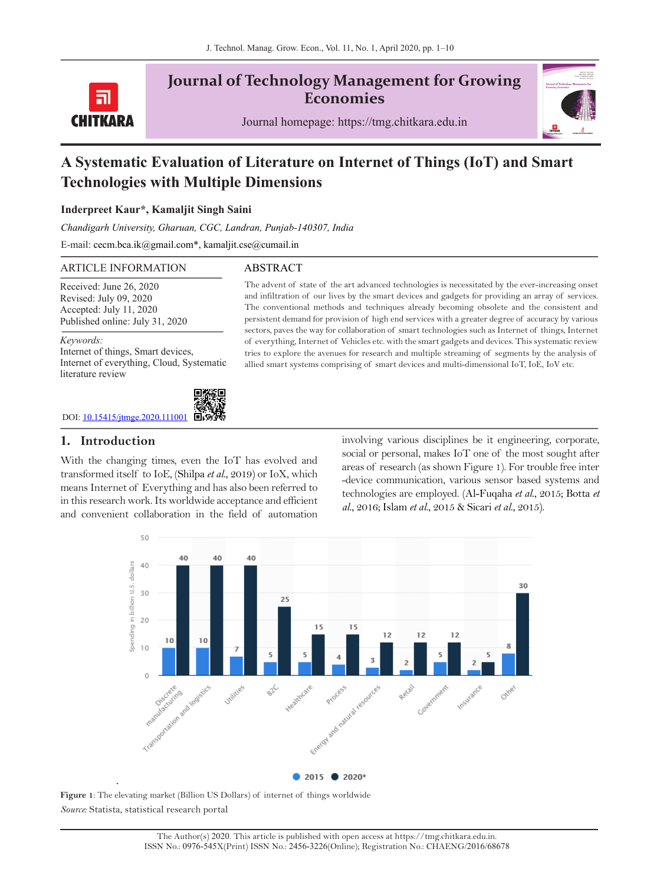

# **Journal of Technology Management for Growing Economies**

Journal homepage: https://tmg.chitkara.edu.in



# **A Systematic Evaluation of Literature on Internet of Things (IoT) and Smart Technologies with Multiple Dimensions**

**Inderpreet Kaur\*, Kamaljit Singh Saini**

*Chandigarh University, Gharuan, CGC, Landran, Punjab-140307, India*

E-mail: cecm.bca.ik@gmail.com\*, kamaljit.cse@cumail.in

#### ARTICLE INFORMATION ABSTRACT

Received: June 26, 2020 Revised: July 09, 2020 Accepted: July 11, 2020 Published online: July 31, 2020

*Keywords:* 

Internet of things, Smart devices, Internet of everything, Cloud, Systematic literature review



The advent of state of the art advanced technologies is necessitated by the ever-increasing onset and infiltration of our lives by the smart devices and gadgets for providing an array of services. The conventional methods and techniques already becoming obsolete and the consistent and persistent demand for provision of high end services with a greater degree of accuracy by various sectors, paves the way for collaboration of smart technologies such as Internet of things, Internet of everything, Internet of Vehicles etc. with the smart gadgets and devices. This systematic review tries to explore the avenues for research and multiple streaming of segments by the analysis of allied smart systems comprising of smart devices and multi-dimensional IoT, IoE, IoV etc.

## **1. Introduction**

.

With the changing times, even the IoT has evolved and transformed itself to IoE, (Shilpa *et al*., 2019) or IoX, which means Internet of Everything and has also been referred to in this research work. Its worldwide acceptance and efficient and convenient collaboration in the field of automation involving various disciplines be it engineering, corporate, social or personal, makes IoT one of the most sought after areas of research (as shown Figure 1). For trouble free inter -device communication, various sensor based systems and technologies are employed. (Al-Fuqaha *et al*., 2015; Botta *et al*., 2016; Islam *et al*., 2015 & Sicari *et al*., 2015).



**Figure 1**: The elevating market (Billion US Dollars) of internet of things worldwide *Source:* Statista, statistical research portal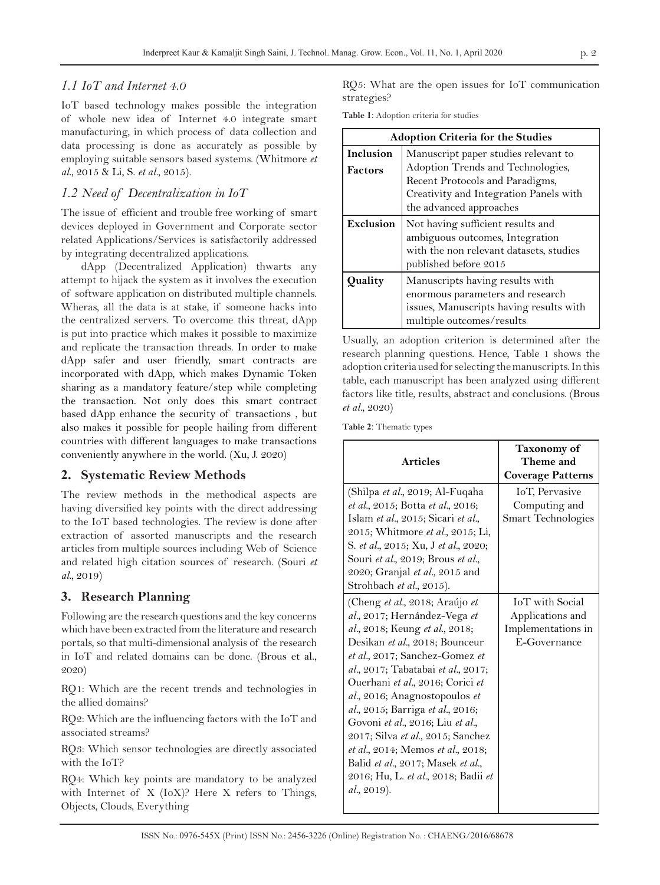#### *1.1 IoT and Internet 4.0*

IoT based technology makes possible the integration of whole new idea of Internet 4.0 integrate smart manufacturing, in which process of data collection and data processing is done as accurately as possible by employing suitable sensors based systems. (Whitmore *et al.,* 2015 & Li, S. *et al.,* 2015).

## *1.2 Need of Decentralization in IoT*

The issue of efficient and trouble free working of smart devices deployed in Government and Corporate sector related Applications/Services is satisfactorily addressed by integrating decentralized applications.

dApp (Decentralized Application) thwarts any attempt to hijack the system as it involves the execution of software application on distributed multiple channels. Wheras, all the data is at stake, if someone hacks into the centralized servers. To overcome this threat, dApp is put into practice which makes it possible to maximize and replicate the transaction threads. In order to make dApp safer and user friendly, smart contracts are incorporated with dApp, which makes Dynamic Token sharing as a mandatory feature/step while completing the transaction. Not only does this smart contract based dApp enhance the security of transactions , but also makes it possible for people hailing from different countries with different languages to make transactions conveniently anywhere in the world. (Xu, J. 2020)

### **2. Systematic Review Methods**

The review methods in the methodical aspects are having diversified key points with the direct addressing to the IoT based technologies. The review is done after extraction of assorted manuscripts and the research articles from multiple sources including Web of Science and related high citation sources of research. (Souri *et al.,* 2019)

## **3. Research Planning**

Following are the research questions and the key concerns which have been extracted from the literature and research portals, so that multi-dimensional analysis of the research in IoT and related domains can be done. (Brous et al., 2020)

RQ1: Which are the recent trends and technologies in the allied domains?

RQ2: Which are the influencing factors with the IoT and associated streams?

RQ3: Which sensor technologies are directly associated with the IoT?

RQ4: Which key points are mandatory to be analyzed with Internet of X (IoX)? Here X refers to Things, Objects, Clouds, Everything

RQ5: What are the open issues for IoT communication strategies?

**Table 1**: Adoption criteria for studies

| <b>Adoption Criteria for the Studies</b> |                                         |  |  |
|------------------------------------------|-----------------------------------------|--|--|
| Inclusion                                | Manuscript paper studies relevant to    |  |  |
| <b>Factors</b>                           | Adoption Trends and Technologies,       |  |  |
|                                          | Recent Protocols and Paradigms,         |  |  |
|                                          | Creativity and Integration Panels with  |  |  |
|                                          | the advanced approaches                 |  |  |
| Exclusion                                | Not having sufficient results and       |  |  |
|                                          | ambiguous outcomes, Integration         |  |  |
|                                          | with the non relevant datasets, studies |  |  |
|                                          | published before 2015                   |  |  |
| Quality                                  | Manuscripts having results with         |  |  |
|                                          | enormous parameters and research        |  |  |
|                                          | issues, Manuscripts having results with |  |  |
|                                          | multiple outcomes/results               |  |  |

Usually, an adoption criterion is determined after the research planning questions. Hence, Table 1 shows the adoption criteria used for selecting the manuscripts. In this table, each manuscript has been analyzed using different factors like title, results, abstract and conclusions. (Brous *et al.,* 2020)

**Table 2**: Thematic types

| <b>Articles</b>                                                                                                                                                                                                                                                                                                                                                                                                                                                                                                                                                                                                                                            | Taxonomy of<br>Theme and<br><b>Coverage Patterns</b>                      |
|------------------------------------------------------------------------------------------------------------------------------------------------------------------------------------------------------------------------------------------------------------------------------------------------------------------------------------------------------------------------------------------------------------------------------------------------------------------------------------------------------------------------------------------------------------------------------------------------------------------------------------------------------------|---------------------------------------------------------------------------|
| (Shilpa et al., 2019; Al-Fuqaha<br><i>et al.</i> , 2015; Botta <i>et al.</i> , 2016;<br>Islam et al., 2015; Sicari et al.,<br>2015; Whitmore <i>et al.</i> , 2015; Li,<br>S. et al., 2015; Xu, J et al., 2020;<br>Souri et al., 2019; Brous et al.,<br>2020; Granjal <i>et al.</i> , 2015 and<br>Strohbach <i>et al.</i> , 2015).                                                                                                                                                                                                                                                                                                                          | IoT, Pervasive<br>Computing and<br>Smart Technologies                     |
| (Cheng <i>et al.</i> , 2018; Araújo <i>et</i><br>al., 2017; Hernández-Vega et<br><i>al.</i> , 2018; Keung <i>et al.</i> , 2018;<br>Desikan et al., 2018; Bounceur<br>et al., 2017; Sanchez-Gomez et<br><i>al.</i> , 2017; Tabatabai <i>et al.</i> , 2017;<br>Ouerhani <i>et al.</i> , 2016; Corici <i>et</i><br><i>al.</i> , 2016; Anagnostopoulos et<br><i>al.</i> , 2015; Barriga et al., 2016;<br>Govoni <i>et al.</i> , 2016; Liu <i>et al.</i> ,<br>2017; Silva <i>et al.</i> , 2015; Sanchez<br><i>et al.</i> , 2014; Memos <i>et al.</i> , 2018;<br>Balid et al., 2017; Masek et al.,<br>2016; Hu, L. et al., 2018; Badii et<br><i>al.</i> , 2019). | IoT with Social<br>Applications and<br>Implementations in<br>E-Governance |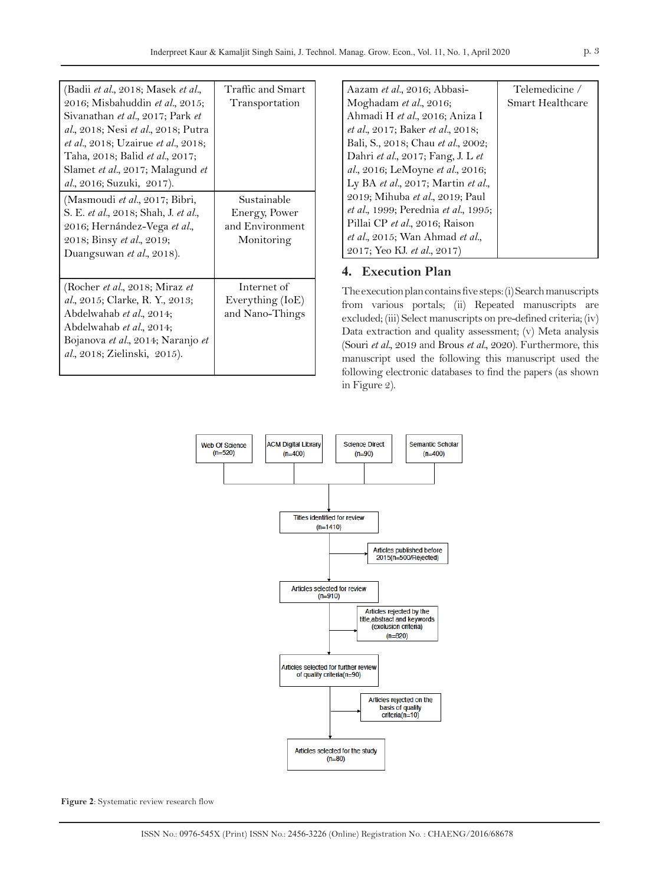| (Badii et al., 2018; Masek et al.,<br>2016; Misbahuddin et al., 2015;<br>Sivanathan <i>et al.</i> , 2017; Park <i>et</i><br><i>al.</i> , 2018; Nesi <i>et al.</i> , 2018; Putra<br><i>et al.</i> , 2018; Uzairue <i>et al.</i> , 2018;<br>Taha, 2018; Balid et al., 2017;<br>Slamet et al., 2017; Malagund et<br><i>al.</i> , 2016; Suzuki, 2017). | Traffic and Smart<br>Transportation                           |
|----------------------------------------------------------------------------------------------------------------------------------------------------------------------------------------------------------------------------------------------------------------------------------------------------------------------------------------------------|---------------------------------------------------------------|
| (Masmoudi <i>et al.</i> , 2017; Bibri,<br>S. E. et al., 2018; Shah, J. et al.,<br>2016; Hernández-Vega <i>et al</i> .,<br>2018; Binsy et al., 2019;<br>Duangsuwan et al., 2018).                                                                                                                                                                   | Sustainable<br>Energy, Power<br>and Environment<br>Monitoring |
| (Rocher <i>et al.</i> , 2018; Miraz <i>et</i><br><i>al.</i> , 2015; Clarke, R. Y., 2013;<br>Abdelwahab et al., 2014;<br>Abdelwahab et al., 2014;<br>Bojanova et al., 2014; Naranjo et<br><i>al.</i> , 2018; Zielinski, 2015).                                                                                                                      | Internet of<br>Everything $(IoE)$<br>and Nano-Things          |

| Aazam et al., 2016; Abbasi-                     | Telemedicine /   |
|-------------------------------------------------|------------------|
| Moghadam et al., 2016;                          | Smart Healthcare |
| Ahmadi H et al., 2016; Aniza I                  |                  |
| et al., 2017; Baker et al., 2018;               |                  |
| Bali, S., 2018; Chau et al., 2002;              |                  |
| Dahri et al., 2017; Fang, J. L et               |                  |
| al., 2016; LeMoyne et al., 2016;                |                  |
| Ly BA et al., 2017; Martin et al.,              |                  |
| 2019; Mihuba et al., 2019; Paul                 |                  |
| et al., 1999; Perednia et al., 1995;            |                  |
| Pillai CP et al., 2016; Raison                  |                  |
| <i>et al.</i> , 2015; Wan Ahmad <i>et al.</i> , |                  |
| 2017; Yeo KJ. et al., 2017)                     |                  |

#### **4. Execution Plan**

The execution plan contains five steps: (i) Search manuscripts from various portals; (ii) Repeated manuscripts are excluded; (iii) Select manuscripts on pre-defined criteria; (iv) Data extraction and quality assessment; (v) Meta analysis (Souri *et al.,* 2019 and Brous *et al.,* 2020). Furthermore, this manuscript used the following this manuscript used the following electronic databases to find the papers (as shown in Figure 2).



**Figure 2**: Systematic review research flow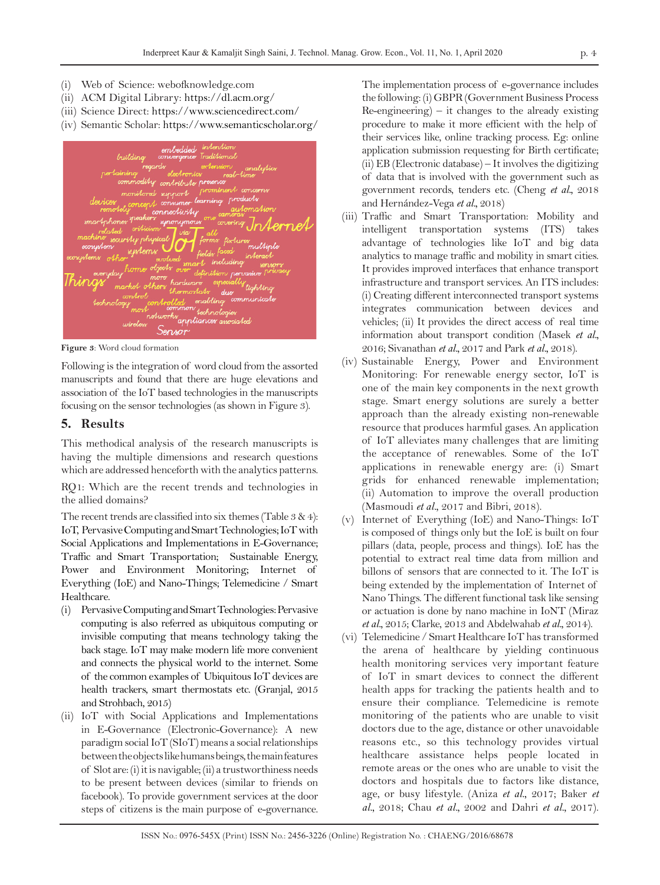- (i) Web of Science: webofknowledge.com
- (ii) ACM Digital Library:<https://dl.acm.org/>
- (iii) Science Direct: <https://www.sciencedirect.com/>
- (iv) Semantic Scholar:<https://www.semanticscholar.org/>



**Figure 3**: Word cloud formation

Following is the integration of word cloud from the assorted manuscripts and found that there are huge elevations and association of the IoT based technologies in the manuscripts focusing on the sensor technologies (as shown in Figure 3).

### **5. Results**

This methodical analysis of the research manuscripts is having the multiple dimensions and research questions which are addressed henceforth with the analytics patterns.

RQ1: Which are the recent trends and technologies in the allied domains?

The recent trends are classified into six themes (Table 3 & 4): IoT, Pervasive Computing and Smart Technologies; IoT with Social Applications and Implementations in E-Governance; Traffic and Smart Transportation; Sustainable Energy, Power and Environment Monitoring; Internet of Everything (IoE) and Nano-Things; Telemedicine / Smart Healthcare.

- (i) Pervasive Computing and Smart Technologies: Pervasive computing is also referred as ubiquitous computing or invisible computing that means technology taking the back stage. IoT may make modern life more convenient and connects the physical world to the internet. Some of the common examples of Ubiquitous IoT devices are health trackers, smart thermostats etc. (Granjal, 2015 and Strohbach, 2015)
- (ii) IoT with Social Applications and Implementations in E-Governance (Electronic-Governance): A new paradigm social IoT (SIoT) means a social relationships between the objects like humans beings, the main features of Slot are: (i) it is navigable; (ii) a trustworthiness needs to be present between devices (similar to friends on facebook). To provide government services at the door steps of citizens is the main purpose of e-governance.

The implementation process of e-governance includes the following: (i) GBPR (Government Business Process  $Re\text{-}engineering) - it changes to the already existing.$ procedure to make it more efficient with the help of their services like, online tracking process. Eg: online application submission requesting for Birth certificate; (ii) EB (Electronic database) – It involves the digitizing of data that is involved with the government such as government records, tenders etc. (Cheng *et al.,* 2018 and Hernández-Vega *et al.,* 2018)

- (iii) Traffic and Smart Transportation: Mobility and intelligent transportation systems (ITS) takes advantage of technologies like IoT and big data analytics to manage traffic and mobility in smart cities. It provides improved interfaces that enhance transport infrastructure and transport services. An ITS includes: (i) Creating different interconnected transport systems integrates communication between devices and vehicles; (ii) It provides the direct access of real time information about transport condition (Masek *et al.,* 2016; Sivanathan *et al.,* 2017 and Park *et al.,* 2018).
- (iv) Sustainable Energy, Power and Environment Monitoring: For renewable energy sector, IoT is one of the main key components in the next growth stage. Smart energy solutions are surely a better approach than the already existing non-renewable resource that produces harmful gases. An application of IoT alleviates many challenges that are limiting the acceptance of renewables. Some of the IoT applications in renewable energy are: (i) Smart grids for enhanced renewable implementation; (ii) Automation to improve the overall production (Masmoudi *et al.,* 2017 and Bibri, 2018).
- (v) Internet of Everything (IoE) and Nano-Things: IoT is composed of things only but the IoE is built on four pillars (data, people, process and things). IoE has the potential to extract real time data from million and billons of sensors that are connected to it. The IoT is being extended by the implementation of Internet of Nano Things. The different functional task like sensing or actuation is done by nano machine in IoNT (Miraz *et al.,* 2015; Clarke, 2013 and Abdelwahab *et al.,* 2014).
- (vi) Telemedicine / Smart Healthcare IoT has transformed the arena of healthcare by yielding continuous health monitoring services very important feature of IoT in smart devices to connect the different health apps for tracking the patients health and to ensure their compliance. Telemedicine is remote monitoring of the patients who are unable to visit doctors due to the age, distance or other unavoidable reasons etc., so this technology provides virtual healthcare assistance helps people located in remote areas or the ones who are unable to visit the doctors and hospitals due to factors like distance, age, or busy lifestyle. (Aniza *et al.,* 2017; Baker *et al.,* 2018; Chau *et al.,* 2002 and Dahri *et al.,* 2017).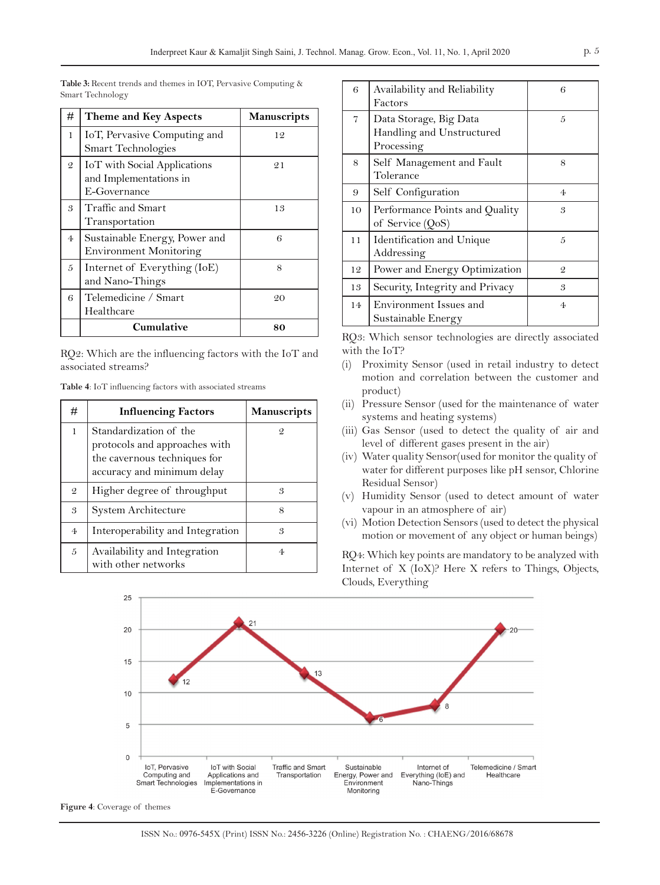**Table 3:** Recent trends and themes in IOT, Pervasive Computing & Smart Technology

| #              | Theme and Key Aspects                                                  | <b>Manuscripts</b> |
|----------------|------------------------------------------------------------------------|--------------------|
| 1              | IoT, Pervasive Computing and<br>Smart Technologies                     | 12                 |
| $\mathfrak{D}$ | IoT with Social Applications<br>and Implementations in<br>E-Governance | 21                 |
| 3              | Traffic and Smart<br>Transportation                                    | 13                 |
| $\overline{4}$ | Sustainable Energy, Power and<br><b>Environment Monitoring</b>         | 6                  |
| 5              | Internet of Everything (IoE)<br>and Nano-Things                        | 8                  |
| 6              | Telemedicine / Smart<br>Healthcare                                     | 20                 |
|                | Cumulative                                                             | 80                 |

RQ2: Which are the influencing factors with the IoT and associated streams?

**Table 4**: IoT influencing factors with associated streams

| #              | <b>Influencing Factors</b>                                                                                            | <b>Manuscripts</b> |
|----------------|-----------------------------------------------------------------------------------------------------------------------|--------------------|
| 1              | Standardization of the<br>protocols and approaches with<br>the cavernous techniques for<br>accuracy and minimum delay | 2                  |
| $\mathcal{Q}$  | Higher degree of throughput                                                                                           | 3                  |
| 3              | System Architecture                                                                                                   | 8                  |
| $\overline{4}$ | Interoperability and Integration                                                                                      | 3                  |
| 5              | Availability and Integration<br>with other networks                                                                   | 4                  |

| 6  | Availability and Reliability<br>Factors                           | 6              |
|----|-------------------------------------------------------------------|----------------|
| 7  | Data Storage, Big Data<br>Handling and Unstructured<br>Processing | 5              |
| 8  | Self Management and Fault<br>Tolerance                            | 8              |
| 9  | Self Configuration                                                | 4              |
| 10 | Performance Points and Quality<br>of Service $(QoS)$              | 3              |
| 11 | Identification and Unique<br>Addressing                           | 5              |
| 12 | Power and Energy Optimization                                     | 2              |
| 13 | Security, Integrity and Privacy                                   | 3              |
| 14 | Environment Issues and<br>Sustainable Energy                      | $\overline{4}$ |

RQ3: Which sensor technologies are directly associated with the IoT?

- (i) Proximity Sensor (used in retail industry to detect motion and correlation between the customer and product)
- (ii) Pressure Sensor (used for the maintenance of water systems and heating systems)
- (iii) Gas Sensor (used to detect the quality of air and level of different gases present in the air)
- (iv) Water quality Sensor(used for monitor the quality of water for different purposes like pH sensor, Chlorine Residual Sensor)
- (v) Humidity Sensor (used to detect amount of water vapour in an atmosphere of air)
- (vi) Motion Detection Sensors (used to detect the physical motion or movement of any object or human beings)

RQ4: Which key points are mandatory to be analyzed with Internet of X (IoX)? Here X refers to Things, Objects, Clouds, Everything



**Figure 4**: Coverage of themes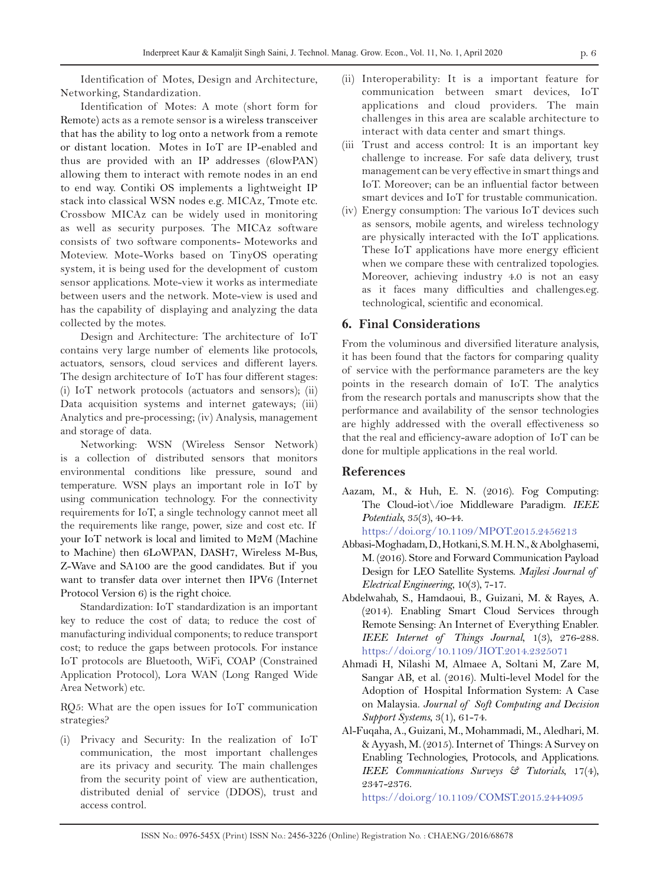Identification of Motes, Design and Architecture, Networking, Standardization.

Identification of Motes: A mote (short form for Remote) acts as a remote sensor is a wireless transceiver that has the ability to log onto a network from a remote or distant location. Motes in IoT are IP-enabled and thus are provided with an IP addresses (6lowPAN) allowing them to interact with remote nodes in an end to end way. Contiki OS implements a lightweight IP stack into classical WSN nodes e.g. MICAz, Tmote etc. Crossbow MICAz can be widely used in monitoring as well as security purposes. The MICAz software consists of two software components- Moteworks and Moteview. Mote-Works based on TinyOS operating system, it is being used for the development of custom sensor applications. Mote-view it works as intermediate between users and the network. Mote-view is used and has the capability of displaying and analyzing the data collected by the motes.

Design and Architecture: The architecture of IoT contains very large number of elements like protocols, actuators, sensors, cloud services and different layers. The design architecture of IoT has four different stages: (i) IoT network protocols (actuators and sensors); (ii) Data acquisition systems and internet gateways; (iii) Analytics and pre-processing; (iv) Analysis, management and storage of data.

Networking: WSN (Wireless Sensor Network) is a collection of distributed sensors that monitors environmental conditions like pressure, sound and temperature. WSN plays an important role in IoT by using communication technology. For the connectivity requirements for IoT, a single technology cannot meet all the requirements like range, power, size and cost etc. If your IoT network is local and limited to M2M (Machine to Machine) then 6LoWPAN, DASH7, Wireless M-Bus, Z-Wave and SA100 are the good candidates. But if you want to transfer data over internet then IPV6 (Internet Protocol Version 6) is the right choice.

Standardization: IoT standardization is an important key to reduce the cost of data; to reduce the cost of manufacturing individual components; to reduce transport cost; to reduce the gaps between protocols. For instance IoT protocols are Bluetooth, WiFi, COAP (Constrained Application Protocol), Lora WAN (Long Ranged Wide Area Network) etc.

RQ5: What are the open issues for IoT communication strategies?

(i) Privacy and Security: In the realization of IoT communication, the most important challenges are its privacy and security. The main challenges from the security point of view are authentication, distributed denial of service (DDOS), trust and access control.

- (ii) Interoperability: It is a important feature for communication between smart devices, IoT applications and cloud providers. The main challenges in this area are scalable architecture to interact with data center and smart things.
- (iii Trust and access control: It is an important key challenge to increase. For safe data delivery, trust management can be very effective in smart things and IoT. Moreover; can be an influential factor between smart devices and IoT for trustable communication.
- (iv) Energy consumption: The various IoT devices such as sensors, mobile agents, and wireless technology are physically interacted with the IoT applications. These IoT applications have more energy efficient when we compare these with centralized topologies. Moreover, achieving industry 4.0 is not an easy as it faces many difficulties and challenges.eg. technological, scientific and economical.

#### **6. Final Considerations**

From the voluminous and diversified literature analysis, it has been found that the factors for comparing quality of service with the performance parameters are the key points in the research domain of IoT. The analytics from the research portals and manuscripts show that the performance and availability of the sensor technologies are highly addressed with the overall effectiveness so that the real and efficiency-aware adoption of IoT can be done for multiple applications in the real world.

#### **References**

Aazam, M., & Huh, E. N. (2016). Fog Computing: The Cloud-iot\/ioe Middleware Paradigm. *IEEE Potentials*, 35(3), 40-44.

[https://doi.org/10.1109/MPOT.2015.2456213](https://doi.org/10.1109/MPOT.2015.2456213 )

- Abbasi-Moghadam, D., Hotkani, S. M. H. N., & Abolghasemi, M. (2016). Store and Forward Communication Payload Design for LEO Satellite Systems. *Majlesi Journal of Electrical Engineering*, 10(3), 7-17.
- Abdelwahab, S., Hamdaoui, B., Guizani, M. & Rayes, A. (2014). Enabling Smart Cloud Services through Remote Sensing: An Internet of Everything Enabler. *IEEE Internet of Things Journal*, 1(3), 276-288. https://doi.org[/10.1109/JIOT.2014.2325071](https://doi.org/10.1109/JIOT.2014.2325071)
- Ahmadi H, Nilashi M, Almaee A, Soltani M, Zare M, Sangar AB, et al. (2016). Multi-level Model for the Adoption of Hospital Information System: A Case on Malaysia. *Journal of Soft Computing and Decision Support Systems*, 3(1), 61-74.
- Al-Fuqaha, A., Guizani, M., Mohammadi, M., Aledhari, M. & Ayyash, M. (2015). Internet of Things: A Survey on Enabling Technologies, Protocols, and Applications. *IEEE Communications Surveys & Tutorials*, 17(4), 2347-2376.

https://doi.org[/10.1109/COMST.2015.2444095](https://doi.org/10.1109/COMST.2015.2444095)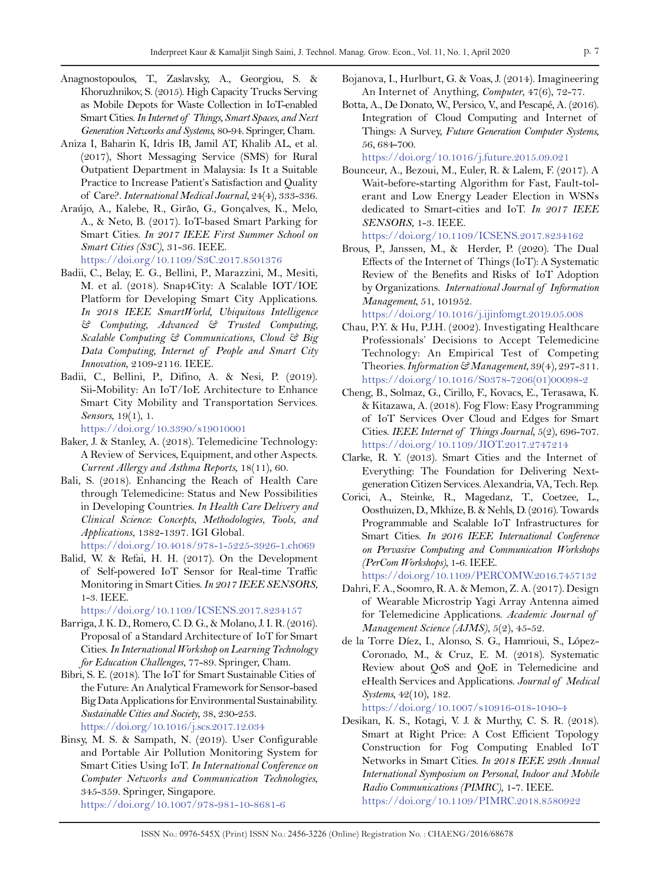- Anagnostopoulos, T., Zaslavsky, A., Georgiou, S. & Khoruzhnikov, S. (2015). High Capacity Trucks Serving as Mobile Depots for Waste Collection in IoT-enabled Smart Cities. *In Internet of Things, Smart Spaces, and Next Generation Networks and Systems*, 80-94. Springer, Cham.
- Aniza I, Baharin K, Idris IB, Jamil AT, Khalib AL, et al. (2017), Short Messaging Service (SMS) for Rural Outpatient Department in Malaysia: Is It a Suitable Practice to Increase Patient's Satisfaction and Quality of Care?. *International Medical Journal*, 24(4), 333-336.
- Araújo, A., Kalebe, R., Girão, G., Gonçalves, K., Melo, A., & Neto, B. (2017). IoT-based Smart Parking for Smart Cities. *In 2017 IEEE First Summer School on Smart Cities (S3C)*, 31-36. IEEE.
- https://doi.org/10.1109/S3C.2017.8501376
- Badii, C., Belay, E. G., Bellini, P., Marazzini, M., Mesiti, M. et al. (2018). Snap4City: A Scalable IOT/IOE Platform for Developing Smart City Applications. *In 2018 IEEE SmartWorld, Ubiquitous Intelligence & Computing, Advanced & Trusted Computing, Scalable Computing & Communications, Cloud & Big Data Computing, Internet of People and Smart City Innovation*, 2109-2116. IEEE.
- Badii, C., Bellini, P., Difino, A. & Nesi, P. (2019). Sii-Mobility: An IoT/IoE Architecture to Enhance Smart City Mobility and Transportation Services. *Sensors*, 19(1), 1.

https://doi.org/10.3390/s19010001

- Baker, J. & Stanley, A. (2018). Telemedicine Technology: A Review of Services, Equipment, and other Aspects. *Current Allergy and Asthma Reports*, 18(11), 60.
- Bali, S. (2018). Enhancing the Reach of Health Care through Telemedicine: Status and New Possibilities in Developing Countries. *In Health Care Delivery and Clinical Science: Concepts, Methodologies, Tools, and Applications,* 1382-1397. IGI Global. https://doi.org/10.4018/978-1-5225-3926-1.ch069
- Balid, W. & Refai, H. H. (2017). On the Development of Self-powered IoT Sensor for Real-time Traffic Monitoring in Smart Cities. *In 2017 IEEE SENSORS,* 1-3. IEEE.

https://doi.org/[10.1109/ICSENS.2017.8234157](https://doi.org/10.1109/ICSENS.2017.8234157)

- Barriga, J. K. D., Romero, C. D. G., & Molano, J. I. R. (2016). Proposal of a Standard Architecture of IoT for Smart Cities. *In International Workshop on Learning Technology for Education Challenges,* 77-89. Springer, Cham.
- Bibri, S. E. (2018). The IoT for Smart Sustainable Cities of the Future: An Analytical Framework for Sensor-based Big Data Applications for Environmental Sustainability. *Sustainable Cities and Society*, 38, 230-253. https://doi.org[/10.1016/j.scs.2017.12.034](https://doi.org/10.1016/j.scs.2017.12.034)
- Binsy, M. S. & Sampath, N. (2019). User Configurable and Portable Air Pollution Monitoring System for Smart Cities Using IoT. *In International Conference on Computer Networks and Communication Technologies*, 345-359. Springer, Singapore. https://doi.org/10.1007/978-981-10-8681-6
- Bojanova, I., Hurlburt, G. & Voas, J. (2014). Imagineering An Internet of Anything, *Computer*, 47(6), 72-77.
- Botta, A., De Donato, W., Persico, V., and Pescapé, A. (2016). Integration of Cloud Computing and Internet of Things: A Survey, *Future Generation Computer Systems*, 56, 684-700.

https://doi.org[/10.1016/j.future.2015.09.021](https://doi.org/10.1016/j.future.2015.09.021)

Bounceur, A., Bezoui, M., Euler, R. & Lalem, F. (2017). A Wait-before-starting Algorithm for Fast, Fault-tolerant and Low Energy Leader Election in WSNs dedicated to Smart-cities and IoT. *In 2017 IEEE SENSORS*, 1-3. IEEE.

https://doi.org[/10.1109/ICSENS.2017.8234162](https://doi.org/10.1109/ICSENS.2017.8234162)

Brous, P., Janssen, M., & Herder, P. (2020). The Dual Effects of the Internet of Things (IoT): A Systematic Review of the Benefits and Risks of IoT Adoption by Organizations. *International Journal of Information Management*, 51, 101952.

https://doi.org/10.1016/j.ijinfomgt.2019.05.008

- Chau, P.Y. & Hu, P.J.H. (2002). Investigating Healthcare Professionals' Decisions to Accept Telemedicine Technology: An Empirical Test of Competing Theories. *Information & Management*, 39(4), 297-311. [https://doi.org/10.1016/S0378-7206\(01\)00098-2](https://doi.org/10.1016/S0378-7206(01)00098-2)
- Cheng, B., Solmaz, G., Cirillo, F., Kovacs, E., Terasawa, K. & Kitazawa, A. (2018). Fog Flow: Easy Programming of IoT Services Over Cloud and Edges for Smart Cities. *IEEE Internet of Things Journal*, 5(2), 696-707. https://doi.org/10.1109/JIOT.2017.2747214
- Clarke, R. Y. (2013). Smart Cities and the Internet of Everything: The Foundation for Delivering Nextgeneration Citizen Services. Alexandria, VA, Tech. Rep.
- Corici, A., Steinke, R., Magedanz, T., Coetzee, L., Oosthuizen, D., Mkhize, B. & Nehls, D. (2016). Towards Programmable and Scalable IoT Infrastructures for Smart Cities. *In 2016 IEEE International Conference on Pervasive Computing and Communication Workshops (PerCom Workshops),* 1-6. IEEE.

https://doi.org/10.1109/PERCOMW.2016.7457132

- Dahri, F. A., Soomro, R. A. & Memon, Z. A. (2017). Design of Wearable Microstrip Yagi Array Antenna aimed for Telemedicine Applications. *Academic Journal of Management Science (AJMS)*, 5(2), 45-52.
- de la Torre Díez, I., Alonso, S. G., Hamrioui, S., López-Coronado, M., & Cruz, E. M. (2018). Systematic Review about QoS and QoE in Telemedicine and eHealth Services and Applications. *Journal of Medical Systems*, 42(10), 182.

https://doi.org[/10.1007/s10916-018-1040-4](https://doi.org/10.1007/s10916-018-1040-4)

Desikan, K. S., Kotagi, V. J. & Murthy, C. S. R. (2018). Smart at Right Price: A Cost Efficient Topology Construction for Fog Computing Enabled IoT Networks in Smart Cities. *In 2018 IEEE 29th Annual International Symposium on Personal, Indoor and Mobile Radio Communications (PIMRC)*, 1-7. IEEE. https://doi.org/[10.1109/PIMRC.2018.8580922](https://doi.org/10.1109/PIMRC.2018.8580922)

ISSN No.: 0976-545X (Print) ISSN No.: 2456-3226 (Online) Registration No. : CHAENG/2016/68678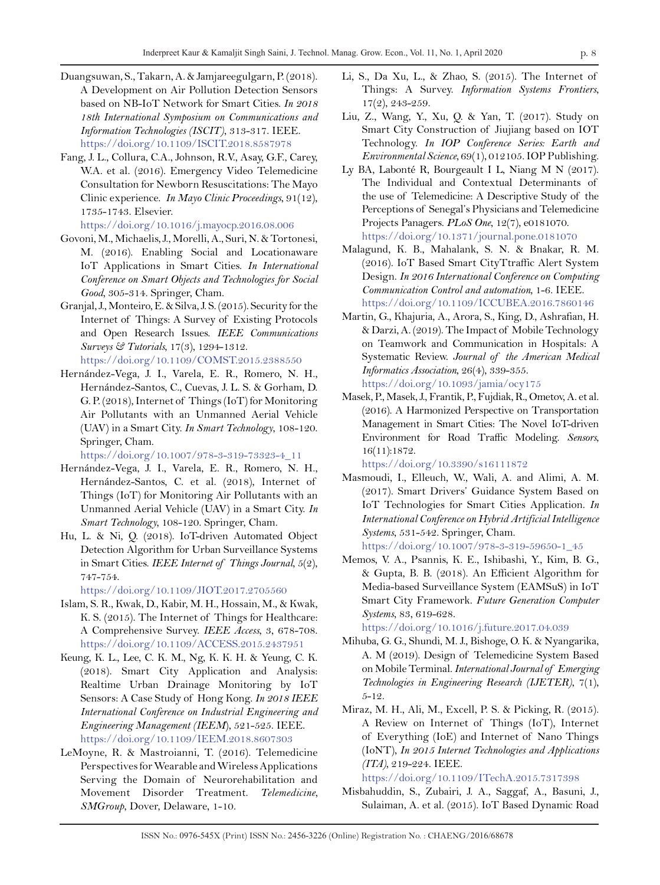- Duangsuwan, S., Takarn, A. & Jamjareegulgarn, P. (2018). A Development on Air Pollution Detection Sensors based on NB-IoT Network for Smart Cities. *In 2018 18th International Symposium on Communications and Information Technologies (ISCIT)*, 313-317. IEEE. https://doi.org[/10.1109/ISCIT.2018.8587978](https://doi.org/10.1109/ISCIT.2018.8587978)
- Fang, J. L., Collura, C.A., Johnson, R.V., Asay, G.F., Carey, W.A. et al. (2016). Emergency Video Telemedicine Consultation for Newborn Resuscitations: The Mayo Clinic experience. *In Mayo Clinic Proceedings*, 91(12), 1735-1743. Elsevier.

https://doi.org/10.1016/j.mayocp.2016.08.006

- Govoni, M., Michaelis, J., Morelli, A., Suri, N. & Tortonesi, M. (2016). Enabling Social and Locationaware IoT Applications in Smart Cities. *In International Conference on Smart Objects and Technologies for Social Good,* 305-314. Springer, Cham.
- Granjal, J., Monteiro, E. & Silva, J. S. (2015). Security for the Internet of Things: A Survey of Existing Protocols and Open Research Issues. *IEEE Communications Surveys & Tutorials*, 17(3), 1294-1312. https://doi.org[/10.1109/COMST.2015.2388550](https://doi.org/10.1109/COMST.2015.2388550)
- Hernández-Vega, J. I., Varela, E. R., Romero, N. H., Hernández-Santos, C., Cuevas, J. L. S. & Gorham, D. G. P. (2018), Internet of Things (IoT) for Monitoring Air Pollutants with an Unmanned Aerial Vehicle (UAV) in a Smart City. *In Smart Technology*, 108-120. Springer, Cham.

https://doi.org/10.1007/978-3-319-73323-4\_11

- Hernández-Vega, J. I., Varela, E. R., Romero, N. H., Hernández-Santos, C. et al. (2018), Internet of Things (IoT) for Monitoring Air Pollutants with an Unmanned Aerial Vehicle (UAV) in a Smart City. *In Smart Technology,* 108-120. Springer, Cham.
- Hu, L. & Ni, Q. (2018). IoT-driven Automated Object Detection Algorithm for Urban Surveillance Systems in Smart Cities. *IEEE Internet of Things Journal*, 5(2), 747-754.

https://doi.org/10.1109/JIOT.2017.2705560

- Islam, S. R., Kwak, D., Kabir, M. H., Hossain, M., & Kwak, K. S. (2015). The Internet of Things for Healthcare: A Comprehensive Survey. *IEEE Access*, 3, 678-708. https://doi.org[/10.1109/ACCESS.2015.2437951](https://doi.org/10.1109/ACCESS.2015.2437951)
- Keung, K. L., Lee, C. K. M., Ng, K. K. H. & Yeung, C. K. (2018). Smart City Application and Analysis: Realtime Urban Drainage Monitoring by IoT Sensors: A Case Study of Hong Kong. *In 2018 IEEE International Conference on Industrial Engineering and Engineering Management (IEEM*), 521-525. IEEE. https://doi.org/10.1109/IEEM.2018.8607303
- LeMoyne, R. & Mastroianni, T. (2016). Telemedicine Perspectives for Wearable and Wireless Applications Serving the Domain of Neurorehabilitation and Movement Disorder Treatment. *Telemedicine, SMGroup*, Dover, Delaware, 1-10.
- Li, S., Da Xu, L., & Zhao, S. (2015). The Internet of Things: A Survey. *Information Systems Frontiers*, 17(2), 243-259.
- Liu, Z., Wang, Y., Xu, Q. & Yan, T. (2017). Study on Smart City Construction of Jiujiang based on IOT Technology. *In IOP Conference Series: Earth and Environmental Science,* 69(1), 012105. IOP Publishing.
- Ly BA, Labonté R, Bourgeault I L, Niang M N (2017). The Individual and Contextual Determinants of the use of Telemedicine: A Descriptive Study of the Perceptions of Senegal's Physicians and Telemedicine Projects Panagers. *PLoS One*, 12(7), e0181070. https://doi.org/10.1371/journal.pone.0181070
- Malagund, K. B., Mahalank, S. N. & Bnakar, R. M. (2016). IoT Based Smart CityTtraffic Alert System Design. *In 2016 International Conference on Computing Communication Control and automation,* 1-6. IEEE. https://doi.org[/10.1109/ICCUBEA.2016.7860146](https://doi.org/10.1109/ICCUBEA.2016.7860146)
- Martin, G., Khajuria, A., Arora, S., King, D., Ashrafian, H. & Darzi, A. (2019). The Impact of Mobile Technology on Teamwork and Communication in Hospitals: A Systematic Review. *Journal of the American Medical Informatics Association*, 26(4), 339-355. https://doi.org/10.1093/jamia/ocy175
- Masek, P., Masek, J., Frantik, P., Fujdiak, R., Ometov, A. et al. (2016). A Harmonized Perspective on Transportation Management in Smart Cities: The Novel IoT-driven Environment for Road Traffic Modeling. *Sensors*, 16(11):1872.

https://doi.org/[10.3390/s16111872](https://doi.org/10.3390/s16111872)

Masmoudi, I., Elleuch, W., Wali, A. and Alimi, A. M. (2017). Smart Drivers' Guidance System Based on IoT Technologies for Smart Cities Application. *In International Conference on Hybrid Artificial Intelligence Systems*, 531-542. Springer, Cham.

https://doi.org[/10.1007/978-3-319-59650-1\\_45](https://www.researchgate.net/deref/http%3A%2F%2Fdx.doi.org%2F10.1007%2F978-3-319-59650-1_45)

Memos, V. A., Psannis, K. E., Ishibashi, Y., Kim, B. G., & Gupta, B. B. (2018). An Efficient Algorithm for Media-based Surveillance System (EAMSuS) in IoT Smart City Framework. *Future Generation Computer Systems*, 83, 619-628.

https://doi.org[/10.1016/j.future.2017.04.039](https://doi.org/10.1016/j.future.2017.04.039) Mihuba, G. G., Shundi, M. J., Bishoge, O. K. & Nyangarika, A. M (2019). Design of Telemedicine System Based

- on Mobile Terminal. *International Journal of Emerging Technologies in Engineering Research (IJETER)*, 7(1), 5-12.
- Miraz, M. H., Ali, M., Excell, P. S. & Picking, R. (2015). A Review on Internet of Things (IoT), Internet of Everything (IoE) and Internet of Nano Things (IoNT), *In 2015 Internet Technologies and Applications (ITA),* 219-224. IEEE.

https://doi.org[/10.1109/ITechA.2015.7317398](https://doi.org/10.1109/ITechA.2015.7317398)

Misbahuddin, S., Zubairi, J. A., Saggaf, A., Basuni, J., Sulaiman, A. et al. (2015). IoT Based Dynamic Road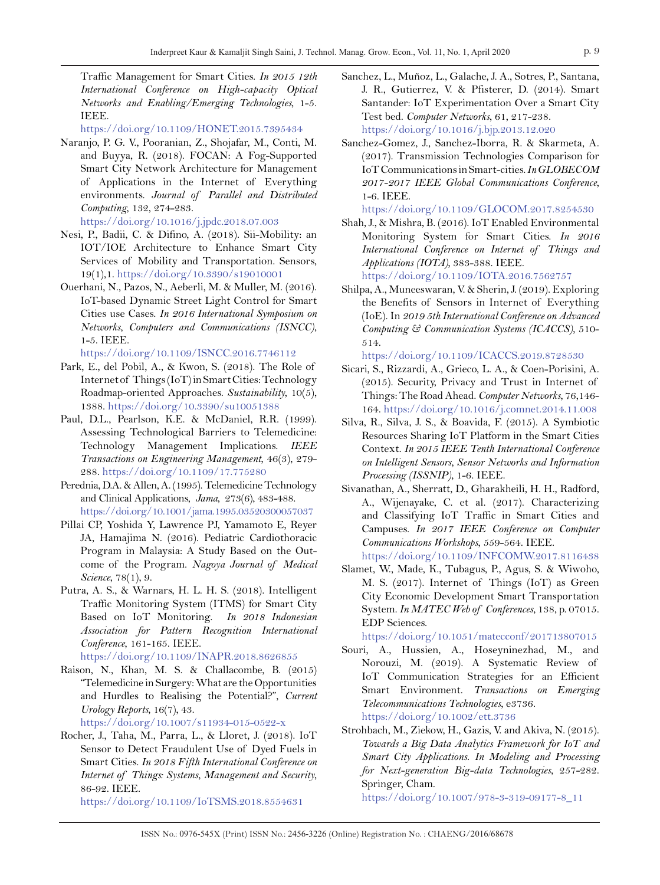Traffic Management for Smart Cities. *In 2015 12th International Conference on High-capacity Optical Networks and Enabling/Emerging Technologies*, 1-5. IEEE.

https://doi.org[/10.1109/HONET.2015.7395434](https://doi.org/10.1109/HONET.2015.7395434)

Naranjo, P. G. V., Pooranian, Z., Shojafar, M., Conti, M. and Buyya, R. (2018). FOCAN: A Fog-Supported Smart City Network Architecture for Management of Applications in the Internet of Everything environments. *Journal of Parallel and Distributed Computing*, 132, 274-283.

https://doi.org[/10.1016/j.jpdc.2018.07.003](https://doi.org/10.1016/j.jpdc.2018.07.003)

- Nesi, P., Badii, C. & Difino, A. (2018). Sii-Mobility: an IOT/IOE Architecture to Enhance Smart City Services of Mobility and Transportation. Sensors, 19(1),1. https://doi.org/10.3390/s19010001
- Ouerhani, N., Pazos, N., Aeberli, M. & Muller, M. (2016). IoT-based Dynamic Street Light Control for Smart Cities use Cases. *In 2016 International Symposium on Networks, Computers and Communications (ISNCC)*, 1-5. IEEE.

https://doi.org[/10.1109/ISNCC.2016.7746112](https://doi.org/10.1109/ISNCC.2016.7746112)

- Park, E., del Pobil, A., & Kwon, S. (2018). The Role of Internet of Things (IoT) in Smart Cities: Technology Roadmap-oriented Approaches. *Sustainability*, 10(5), 1388. https://doi.org/10.3390/su10051388
- Paul, D.L., Pearlson, K.E. & McDaniel, R.R. (1999). Assessing Technological Barriers to Telemedicine: Technology Management Implications. *IEEE Transactions on Engineering Management*, 46(3), 279- 288. https://doi.org/[10.1109/17.775280](https://doi.org/10.1109/17.775280)
- Perednia, D.A. & Allen, A. (1995). Telemedicine Technology and Clinical Applications, *Jama*, 273(6), 483-488. https://doi.org/10.1001/jama.1995.03520300057037
- Pillai CP, Yoshida Y, Lawrence PJ, Yamamoto E, Reyer JA, Hamajima N. (2016). Pediatric Cardiothoracic Program in Malaysia: A Study Based on the Outcome of the Program. *Nagoya Journal of Medical Science*, 78(1), 9.
- Putra, A. S., & Warnars, H. L. H. S. (2018). Intelligent Traffic Monitoring System (ITMS) for Smart City Based on IoT Monitoring. *In 2018 Indonesian Association for Pattern Recognition International Conference*, 161-165. IEEE. https://doi.org/10.1109/INAPR.2018.8626855
- Raison, N., Khan, M. S. & Challacombe, B. (2015) "Telemedicine in Surgery: What are the Opportunities and Hurdles to Realising the Potential?", *Current Urology Reports*, 16(7), 43.

https://doi.org[/10.1007/s11934-015-0522-x](https://www.researchgate.net/deref/http%3A%2F%2Fdx.doi.org%2F10.1007%2Fs11934-015-0522-x)

Rocher, J., Taha, M., Parra, L., & Lloret, J. (2018). IoT Sensor to Detect Fraudulent Use of Dyed Fuels in Smart Cities. *In 2018 Fifth International Conference on Internet of Things: Systems, Management and Security*, 86-92. IEEE.

https://doi.org[/10.1109/IoTSMS.2018.8554631](https://doi.org/10.1109/IoTSMS.2018.8554631)

- Sanchez, L., Muñoz, L., Galache, J. A., Sotres, P., Santana, J. R., Gutierrez, V. & Pfisterer, D. (2014). Smart Santander: IoT Experimentation Over a Smart City Test bed. *Computer Networks*, 61, 217-238. https://doi.org/10.1016/j.bjp.2013.12.020
- Sanchez-Gomez, J., Sanchez-Iborra, R. & Skarmeta, A. (2017). Transmission Technologies Comparison for IoT Communications in Smart-cities. *In GLOBECOM 2017-2017 IEEE Global Communications Conference*, 1-6. IEEE.

https://doi.org[/10.1109/GLOCOM.2017.8254530](https://doi.org/10.1109/GLOCOM.2017.8254530)

- Shah, J., & Mishra, B. (2016). IoT Enabled Environmental Monitoring System for Smart Cities. *In 2016 International Conference on Internet of Things and Applications (IOTA),* 383-388. IEEE. https://doi.org[/10.1109/IOTA.2016.7562757](https://doi.org/10.1109/IOTA.2016.7562757)
- Shilpa, A., Muneeswaran, V. & Sherin, J. (2019). Exploring the Benefits of Sensors in Internet of Everything (IoE). In *2019 5th International Conference on Advanced Computing & Communication Systems (ICACCS),* 510- 514.

https://doi.org[/10.1109/ICACCS.2019.8728530](https://doi.org/10.1109/ICACCS.2019.8728530)

- Sicari, S., Rizzardi, A., Grieco, L. A., & Coen-Porisini, A. (2015). Security, Privacy and Trust in Internet of Things: The Road Ahead. *Computer Networks*, 76,146- 164. https://doi.org/[10.1016/j.comnet.2014.11.008](https://doi.org/10.1016/j.comnet.2014.11.008)
- Silva, R., Silva, J. S., & Boavida, F. (2015). A Symbiotic Resources Sharing IoT Platform in the Smart Cities Context. *In 2015 IEEE Tenth International Conference on Intelligent Sensors, Sensor Networks and Information Processing (ISSNIP),* 1-6. IEEE.
- Sivanathan, A., Sherratt, D., Gharakheili, H. H., Radford, A., Wijenayake, C. et al. (2017). Characterizing and Classifying IoT Traffic in Smart Cities and Campuses. *In 2017 IEEE Conference on Computer Communications Workshops*, 559-564. IEEE. https://doi.org[/10.1109/INFCOMW.2017.8116438](https://doi.org/10.1109/INFCOMW.2017.8116438)
- Slamet, W., Made, K., Tubagus, P., Agus, S. & Wiwoho, M. S. (2017). Internet of Things (IoT) as Green City Economic Development Smart Transportation
- System. *In MATEC Web of Conferences,* 138, p. 07015. EDP Sciences.

https://doi.org/10.1051/matecconf/201713807015

- Souri, A., Hussien, A., Hoseyninezhad, M., and Norouzi, M. (2019). A Systematic Review of IoT Communication Strategies for an Efficient Smart Environment. *Transactions on Emerging Telecommunications Technologies*, e3736. https://doi.org[/10.1002/ett.3736](https://doi.org/10.1002/ett.3736)
- Strohbach, M., Ziekow, H., Gazis, V. and Akiva, N. (2015). *Towards a Big Data Analytics Framework for IoT and Smart City Applications*. *In Modeling and Processing for Next-generation Big-data Technologies*, 257-282. Springer, Cham.

https://doi.org/10.1007/978-3-319-09177-8\_11